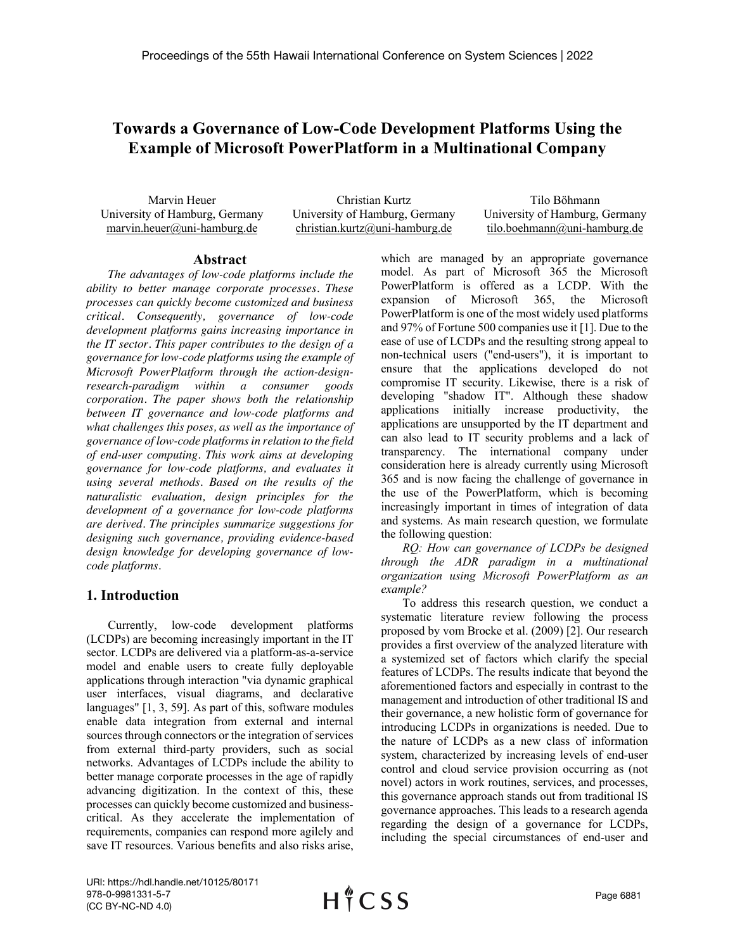# **Towards a Governance of Low-Code Development Platforms Using the Example of Microsoft PowerPlatform in a Multinational Company**

Marvin Heuer University of Hamburg, Germany marvin.heuer@uni-hamburg.de

Christian Kurtz University of Hamburg, Germany christian.kurtz@uni-hamburg.de

Tilo Böhmann University of Hamburg, Germany tilo.boehmann@uni-hamburg.de

#### **Abstract**

*The advantages of low-code platforms include the ability to better manage corporate processes. These processes can quickly become customized and business critical. Consequently, governance of low-code development platforms gains increasing importance in the IT sector. This paper contributes to the design of a governance for low-code platforms using the example of Microsoft PowerPlatform through the action-designresearch-paradigm within a consumer goods corporation. The paper shows both the relationship between IT governance and low-code platforms and what challenges this poses, as well as the importance of governance of low-code platforms in relation to the field of end-user computing. This work aims at developing governance for low-code platforms, and evaluates it using several methods. Based on the results of the naturalistic evaluation, design principles for the development of a governance for low-code platforms are derived. The principles summarize suggestions for designing such governance, providing evidence-based design knowledge for developing governance of lowcode platforms.*

# **1. Introduction**

Currently, low-code development platforms (LCDPs) are becoming increasingly important in the IT sector. LCDPs are delivered via a platform-as-a-service model and enable users to create fully deployable applications through interaction "via dynamic graphical user interfaces, visual diagrams, and declarative languages" [1, 3, 59]. As part of this, software modules enable data integration from external and internal sources through connectors or the integration of services from external third-party providers, such as social networks. Advantages of LCDPs include the ability to better manage corporate processes in the age of rapidly advancing digitization. In the context of this, these processes can quickly become customized and businesscritical. As they accelerate the implementation of requirements, companies can respond more agilely and save IT resources. Various benefits and also risks arise,

which are managed by an appropriate governance model. As part of Microsoft 365 the Microsoft PowerPlatform is offered as a LCDP. With the expansion of Microsoft 365, the Microsoft PowerPlatform is one of the most widely used platforms and 97% of Fortune 500 companies use it [1]. Due to the ease of use of LCDPs and the resulting strong appeal to non-technical users ("end-users"), it is important to ensure that the applications developed do not compromise IT security. Likewise, there is a risk of developing "shadow IT". Although these shadow applications initially increase productivity, the applications are unsupported by the IT department and can also lead to IT security problems and a lack of transparency. The international company under consideration here is already currently using Microsoft 365 and is now facing the challenge of governance in the use of the PowerPlatform, which is becoming increasingly important in times of integration of data and systems. As main research question, we formulate the following question:

*RQ: How can governance of LCDPs be designed through the ADR paradigm in a multinational organization using Microsoft PowerPlatform as an example?*

To address this research question, we conduct a systematic literature review following the process proposed by vom Brocke et al. (2009) [2]. Our research provides a first overview of the analyzed literature with a systemized set of factors which clarify the special features of LCDPs. The results indicate that beyond the aforementioned factors and especially in contrast to the management and introduction of other traditional IS and their governance, a new holistic form of governance for introducing LCDPs in organizations is needed. Due to the nature of LCDPs as a new class of information system, characterized by increasing levels of end-user control and cloud service provision occurring as (not novel) actors in work routines, services, and processes, this governance approach stands out from traditional IS governance approaches. This leads to a research agenda regarding the design of a governance for LCDPs, including the special circumstances of end-user and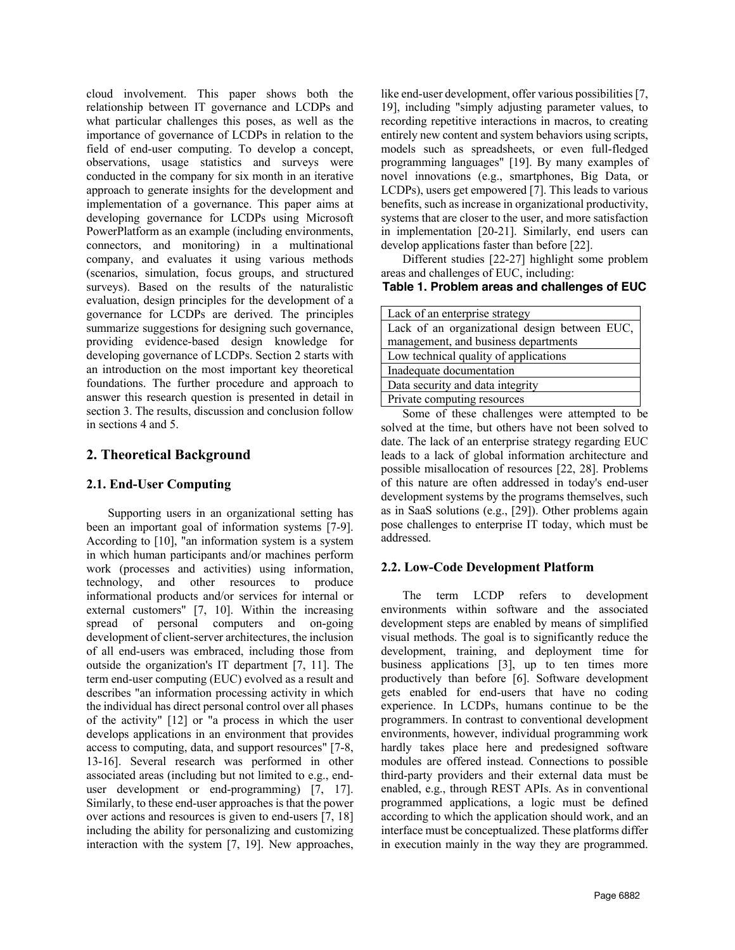cloud involvement. This paper shows both the relationship between IT governance and LCDPs and what particular challenges this poses, as well as the importance of governance of LCDPs in relation to the field of end-user computing. To develop a concept, observations, usage statistics and surveys were conducted in the company for six month in an iterative approach to generate insights for the development and implementation of a governance. This paper aims at developing governance for LCDPs using Microsoft PowerPlatform as an example (including environments, connectors, and monitoring) in a multinational company, and evaluates it using various methods (scenarios, simulation, focus groups, and structured surveys). Based on the results of the naturalistic evaluation, design principles for the development of a governance for LCDPs are derived. The principles summarize suggestions for designing such governance, providing evidence-based design knowledge for developing governance of LCDPs. Section 2 starts with an introduction on the most important key theoretical foundations. The further procedure and approach to answer this research question is presented in detail in section 3. The results, discussion and conclusion follow in sections 4 and 5.

# **2. Theoretical Background**

# **2.1. End-User Computing**

Supporting users in an organizational setting has been an important goal of information systems [7-9]. According to [10], "an information system is a system in which human participants and/or machines perform work (processes and activities) using information, technology, and other resources to produce informational products and/or services for internal or external customers" [7, 10]. Within the increasing spread of personal computers and on-going development of client-server architectures, the inclusion of all end-users was embraced, including those from outside the organization's IT department [7, 11]. The term end-user computing (EUC) evolved as a result and describes "an information processing activity in which the individual has direct personal control over all phases of the activity" [12] or "a process in which the user develops applications in an environment that provides access to computing, data, and support resources" [7-8, 13-16]. Several research was performed in other associated areas (including but not limited to e.g., enduser development or end-programming) [7, 17]. Similarly, to these end-user approaches is that the power over actions and resources is given to end-users [7, 18] including the ability for personalizing and customizing interaction with the system [7, 19]. New approaches,

like end-user development, offer various possibilities [7, 19], including "simply adjusting parameter values, to recording repetitive interactions in macros, to creating entirely new content and system behaviors using scripts, models such as spreadsheets, or even full-fledged programming languages" [19]. By many examples of novel innovations (e.g., smartphones, Big Data, or LCDPs), users get empowered [7]. This leads to various benefits, such as increase in organizational productivity, systems that are closer to the user, and more satisfaction in implementation [20-21]. Similarly, end users can develop applications faster than before [22].

Different studies [22-27] highlight some problem areas and challenges of EUC, including:

# **Table 1. Problem areas and challenges of EUC**

| Lack of an enterprise strategy                |
|-----------------------------------------------|
| Lack of an organizational design between EUC, |
| management, and business departments          |
| Low technical quality of applications         |
| Inadequate documentation                      |
| Data security and data integrity              |
| Private computing resources                   |

Some of these challenges were attempted to be solved at the time, but others have not been solved to date. The lack of an enterprise strategy regarding EUC leads to a lack of global information architecture and possible misallocation of resources [22, 28]. Problems of this nature are often addressed in today's end-user development systems by the programs themselves, such as in SaaS solutions (e.g., [29]). Other problems again pose challenges to enterprise IT today, which must be addressed.

# **2.2. Low-Code Development Platform**

The term LCDP refers to development environments within software and the associated development steps are enabled by means of simplified visual methods. The goal is to significantly reduce the development, training, and deployment time for business applications [3], up to ten times more productively than before [6]. Software development gets enabled for end-users that have no coding experience. In LCDPs, humans continue to be the programmers. In contrast to conventional development environments, however, individual programming work hardly takes place here and predesigned software modules are offered instead. Connections to possible third-party providers and their external data must be enabled, e.g., through REST APIs. As in conventional programmed applications, a logic must be defined according to which the application should work, and an interface must be conceptualized. These platforms differ in execution mainly in the way they are programmed.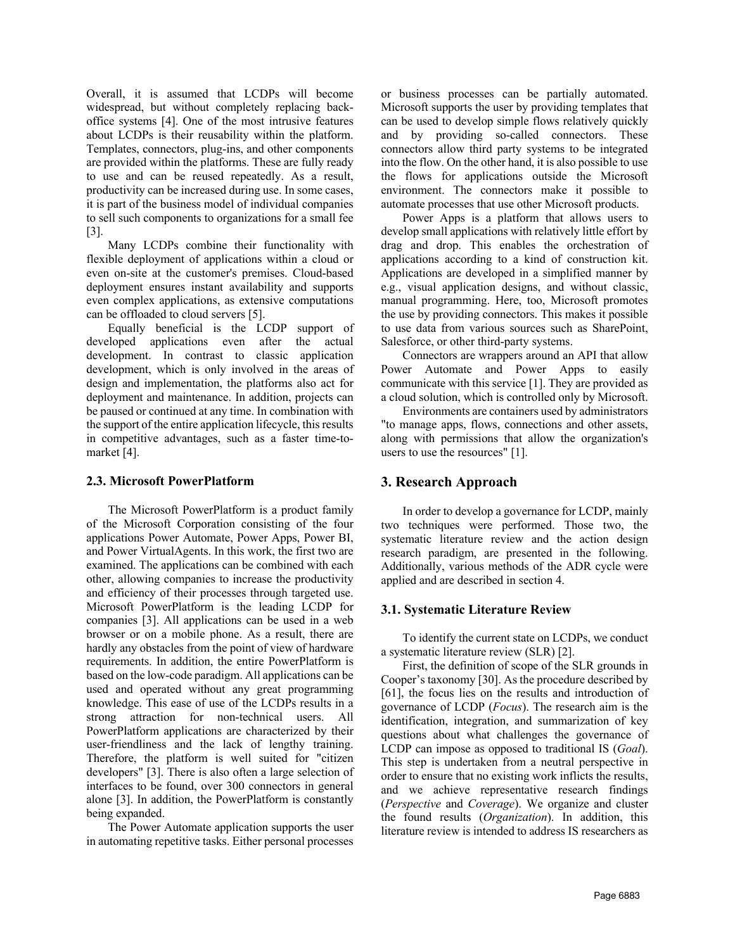Overall, it is assumed that LCDPs will become widespread, but without completely replacing backoffice systems [4]. One of the most intrusive features about LCDPs is their reusability within the platform. Templates, connectors, plug-ins, and other components are provided within the platforms. These are fully ready to use and can be reused repeatedly. As a result, productivity can be increased during use. In some cases, it is part of the business model of individual companies to sell such components to organizations for a small fee [3].

Many LCDPs combine their functionality with flexible deployment of applications within a cloud or even on-site at the customer's premises. Cloud-based deployment ensures instant availability and supports even complex applications, as extensive computations can be offloaded to cloud servers [5].

Equally beneficial is the LCDP support of developed applications even after the actual development. In contrast to classic application development, which is only involved in the areas of design and implementation, the platforms also act for deployment and maintenance. In addition, projects can be paused or continued at any time. In combination with the support of the entire application lifecycle, this results in competitive advantages, such as a faster time-tomarket [4].

# **2.3. Microsoft PowerPlatform**

The Microsoft PowerPlatform is a product family of the Microsoft Corporation consisting of the four applications Power Automate, Power Apps, Power BI, and Power VirtualAgents. In this work, the first two are examined. The applications can be combined with each other, allowing companies to increase the productivity and efficiency of their processes through targeted use. Microsoft PowerPlatform is the leading LCDP for companies [3]. All applications can be used in a web browser or on a mobile phone. As a result, there are hardly any obstacles from the point of view of hardware requirements. In addition, the entire PowerPlatform is based on the low-code paradigm. All applications can be used and operated without any great programming knowledge. This ease of use of the LCDPs results in a strong attraction for non-technical users. All PowerPlatform applications are characterized by their user-friendliness and the lack of lengthy training. Therefore, the platform is well suited for "citizen developers" [3]. There is also often a large selection of interfaces to be found, over 300 connectors in general alone [3]. In addition, the PowerPlatform is constantly being expanded.

The Power Automate application supports the user in automating repetitive tasks. Either personal processes or business processes can be partially automated. Microsoft supports the user by providing templates that can be used to develop simple flows relatively quickly and by providing so-called connectors. These connectors allow third party systems to be integrated into the flow. On the other hand, it is also possible to use the flows for applications outside the Microsoft environment. The connectors make it possible to automate processes that use other Microsoft products.

Power Apps is a platform that allows users to develop small applications with relatively little effort by drag and drop. This enables the orchestration of applications according to a kind of construction kit. Applications are developed in a simplified manner by e.g., visual application designs, and without classic, manual programming. Here, too, Microsoft promotes the use by providing connectors. This makes it possible to use data from various sources such as SharePoint, Salesforce, or other third-party systems.

Connectors are wrappers around an API that allow Power Automate and Power Apps to easily communicate with this service [1]. They are provided as a cloud solution, which is controlled only by Microsoft.

Environments are containers used by administrators "to manage apps, flows, connections and other assets, along with permissions that allow the organization's users to use the resources" [1].

# **3. Research Approach**

In order to develop a governance for LCDP, mainly two techniques were performed. Those two, the systematic literature review and the action design research paradigm, are presented in the following. Additionally, various methods of the ADR cycle were applied and are described in section 4.

# **3.1. Systematic Literature Review**

To identify the current state on LCDPs, we conduct a systematic literature review (SLR) [2].

First, the definition of scope of the SLR grounds in Cooper's taxonomy [30]. As the procedure described by [61], the focus lies on the results and introduction of governance of LCDP (*Focus*). The research aim is the identification, integration, and summarization of key questions about what challenges the governance of LCDP can impose as opposed to traditional IS (*Goal*). This step is undertaken from a neutral perspective in order to ensure that no existing work inflicts the results, and we achieve representative research findings (*Perspective* and *Coverage*). We organize and cluster the found results (*Organization*). In addition, this literature review is intended to address IS researchers as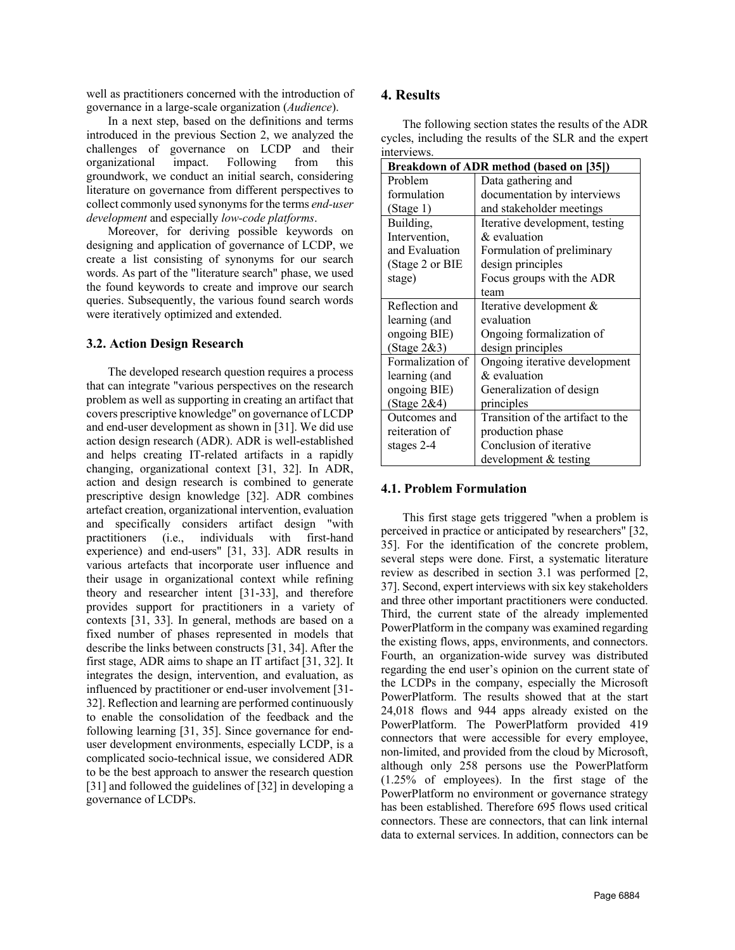well as practitioners concerned with the introduction of governance in a large-scale organization (*Audience*).

In a next step, based on the definitions and terms introduced in the previous Section 2, we analyzed the challenges of governance on LCDP and their organizational impact. Following from this groundwork, we conduct an initial search, considering literature on governance from different perspectives to collect commonly used synonyms for the terms *end-user development* and especially *low-code platforms*.

Moreover, for deriving possible keywords on designing and application of governance of LCDP, we create a list consisting of synonyms for our search words. As part of the "literature search" phase, we used the found keywords to create and improve our search queries. Subsequently, the various found search words were iteratively optimized and extended.

#### **3.2. Action Design Research**

The developed research question requires a process that can integrate "various perspectives on the research problem as well as supporting in creating an artifact that covers prescriptive knowledge" on governance of LCDP and end-user development as shown in [31]. We did use action design research (ADR). ADR is well-established and helps creating IT-related artifacts in a rapidly changing, organizational context [31, 32]. In ADR, action and design research is combined to generate prescriptive design knowledge [32]. ADR combines artefact creation, organizational intervention, evaluation and specifically considers artifact design "with practitioners (i.e., individuals with first-hand experience) and end-users" [31, 33]. ADR results in various artefacts that incorporate user influence and their usage in organizational context while refining theory and researcher intent [31-33], and therefore provides support for practitioners in a variety of contexts [31, 33]. In general, methods are based on a fixed number of phases represented in models that describe the links between constructs [31, 34]. After the first stage, ADR aims to shape an IT artifact [31, 32]. It integrates the design, intervention, and evaluation, as influenced by practitioner or end-user involvement [31- 32]. Reflection and learning are performed continuously to enable the consolidation of the feedback and the following learning [31, 35]. Since governance for enduser development environments, especially LCDP, is a complicated socio-technical issue, we considered ADR to be the best approach to answer the research question [31] and followed the guidelines of [32] in developing a governance of LCDPs.

# **4. Results**

The following section states the results of the ADR cycles, including the results of the SLR and the expert interviews.

|                  | Breakdown of ADR method (based on [35]) |
|------------------|-----------------------------------------|
| Problem          | Data gathering and                      |
| formulation      | documentation by interviews             |
| (Stage 1)        | and stakeholder meetings                |
| Building,        | Iterative development, testing          |
| Intervention,    | & evaluation                            |
| and Evaluation   | Formulation of preliminary              |
| (Stage 2 or BIE  | design principles                       |
| stage)           | Focus groups with the ADR               |
|                  | team                                    |
| Reflection and   | Iterative development &                 |
| learning (and    | evaluation                              |
| ongoing BIE)     | Ongoing formalization of                |
| (Stage $2&3$ )   | design principles                       |
| Formalization of | Ongoing iterative development           |
| learning (and    | & evaluation                            |
| ongoing BIE)     | Generalization of design                |
| (Stage $2&4)$    | principles                              |
| Outcomes and     | Transition of the artifact to the       |
| reiteration of   | production phase                        |
| stages 2-4       | Conclusion of iterative                 |
|                  | development & testing                   |

# **4.1. Problem Formulation**

This first stage gets triggered "when a problem is perceived in practice or anticipated by researchers" [32, 35]. For the identification of the concrete problem, several steps were done. First, a systematic literature review as described in section 3.1 was performed [2, 37]. Second, expert interviews with six key stakeholders and three other important practitioners were conducted. Third, the current state of the already implemented PowerPlatform in the company was examined regarding the existing flows, apps, environments, and connectors. Fourth, an organization-wide survey was distributed regarding the end user's opinion on the current state of the LCDPs in the company, especially the Microsoft PowerPlatform. The results showed that at the start 24,018 flows and 944 apps already existed on the PowerPlatform. The PowerPlatform provided 419 connectors that were accessible for every employee, non-limited, and provided from the cloud by Microsoft, although only 258 persons use the PowerPlatform (1.25% of employees). In the first stage of the PowerPlatform no environment or governance strategy has been established. Therefore 695 flows used critical connectors. These are connectors, that can link internal data to external services. In addition, connectors can be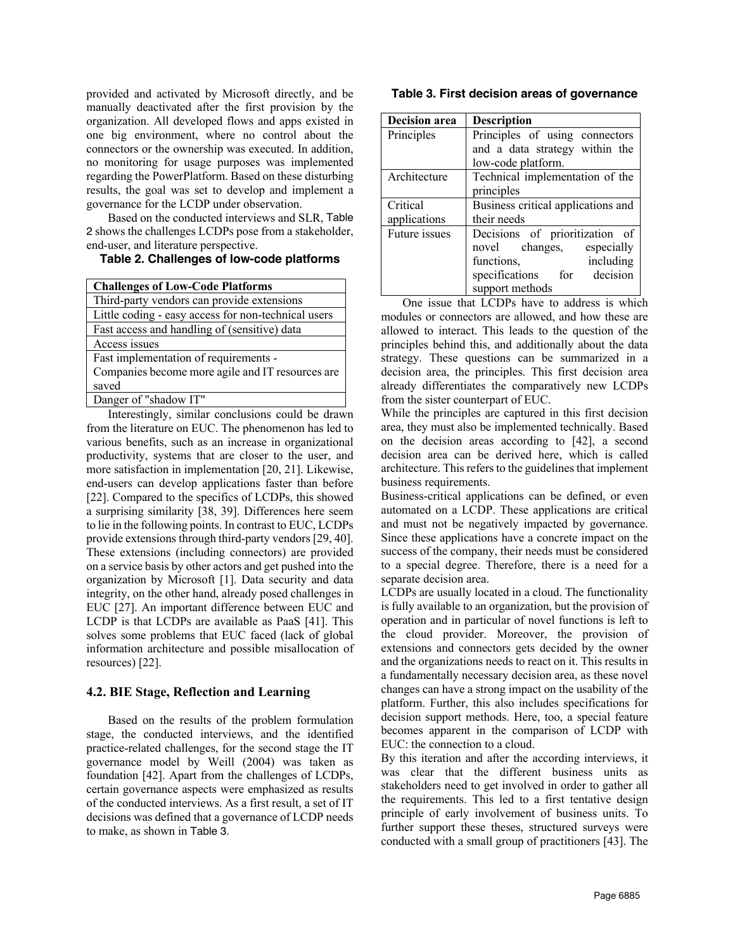provided and activated by Microsoft directly, and be manually deactivated after the first provision by the organization. All developed flows and apps existed in one big environment, where no control about the connectors or the ownership was executed. In addition, no monitoring for usage purposes was implemented regarding the PowerPlatform. Based on these disturbing results, the goal was set to develop and implement a governance for the LCDP under observation.

Based on the conducted interviews and SLR, Table 2 shows the challenges LCDPs pose from a stakeholder, end-user, and literature perspective.

### **Table 2. Challenges of low-code platforms**

| <b>Challenges of Low-Code Platforms</b>             |
|-----------------------------------------------------|
| Third-party vendors can provide extensions          |
| Little coding - easy access for non-technical users |
| Fast access and handling of (sensitive) data        |
| Access issues                                       |
| Fast implementation of requirements -               |
| Companies become more agile and IT resources are    |
| saved                                               |
| Danger of "shadow IT"                               |
|                                                     |

Interestingly, similar conclusions could be drawn from the literature on EUC. The phenomenon has led to various benefits, such as an increase in organizational productivity, systems that are closer to the user, and more satisfaction in implementation [20, 21]. Likewise, end-users can develop applications faster than before [22]. Compared to the specifics of LCDPs, this showed a surprising similarity [38, 39]. Differences here seem to lie in the following points. In contrast to EUC, LCDPs provide extensions through third-party vendors [29, 40]. These extensions (including connectors) are provided on a service basis by other actors and get pushed into the organization by Microsoft [1]. Data security and data integrity, on the other hand, already posed challenges in EUC [27]. An important difference between EUC and LCDP is that LCDPs are available as PaaS [41]. This solves some problems that EUC faced (lack of global information architecture and possible misallocation of resources) [22].

# **4.2. BIE Stage, Reflection and Learning**

Based on the results of the problem formulation stage, the conducted interviews, and the identified practice-related challenges, for the second stage the IT governance model by Weill (2004) was taken as foundation [42]. Apart from the challenges of LCDPs, certain governance aspects were emphasized as results of the conducted interviews. As a first result, a set of IT decisions was defined that a governance of LCDP needs to make, as shown in Table 3.

#### **Table 3. First decision areas of governance**

| <b>Decision</b> area | <b>Description</b>                 |
|----------------------|------------------------------------|
| Principles           | Principles of using connectors     |
|                      | and a data strategy within the     |
|                      | low-code platform.                 |
| Architecture         | Technical implementation of the    |
|                      | principles                         |
| Critical             | Business critical applications and |
| applications         | their needs                        |
| Future issues        | Decisions of prioritization of     |
|                      | novel changes,<br>especially       |
|                      | including<br>functions,            |
|                      | specifications for decision        |
|                      | support methods                    |

One issue that LCDPs have to address is which modules or connectors are allowed, and how these are allowed to interact. This leads to the question of the principles behind this, and additionally about the data strategy. These questions can be summarized in a decision area, the principles. This first decision area already differentiates the comparatively new LCDPs from the sister counterpart of EUC.

While the principles are captured in this first decision area, they must also be implemented technically. Based on the decision areas according to [42], a second decision area can be derived here, which is called architecture. This refers to the guidelines that implement business requirements.

Business-critical applications can be defined, or even automated on a LCDP. These applications are critical and must not be negatively impacted by governance. Since these applications have a concrete impact on the success of the company, their needs must be considered to a special degree. Therefore, there is a need for a separate decision area.

LCDPs are usually located in a cloud. The functionality is fully available to an organization, but the provision of operation and in particular of novel functions is left to the cloud provider. Moreover, the provision of extensions and connectors gets decided by the owner and the organizations needs to react on it. This results in a fundamentally necessary decision area, as these novel changes can have a strong impact on the usability of the platform. Further, this also includes specifications for decision support methods. Here, too, a special feature becomes apparent in the comparison of LCDP with EUC: the connection to a cloud.

By this iteration and after the according interviews, it was clear that the different business units as stakeholders need to get involved in order to gather all the requirements. This led to a first tentative design principle of early involvement of business units. To further support these theses, structured surveys were conducted with a small group of practitioners [43]. The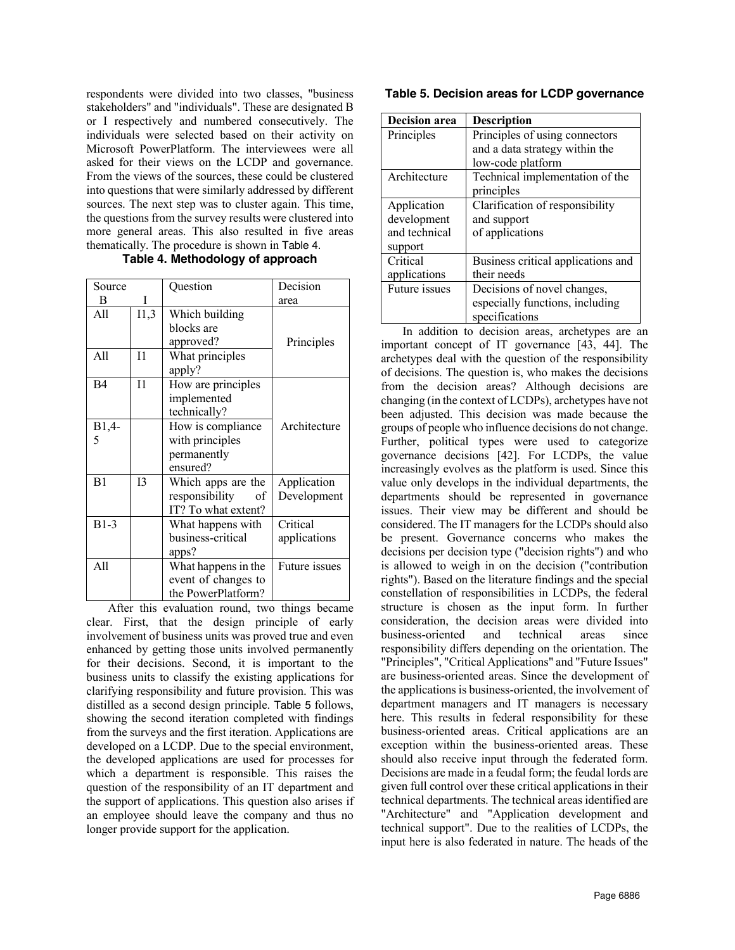respondents were divided into two classes, "business stakeholders" and "individuals". These are designated B or I respectively and numbered consecutively. The individuals were selected based on their activity on Microsoft PowerPlatform. The interviewees were all asked for their views on the LCDP and governance. From the views of the sources, these could be clustered into questions that were similarly addressed by different sources. The next step was to cluster again. This time, the questions from the survey results were clustered into more general areas. This also resulted in five areas thematically. The procedure is shown in Table 4.

|  | Table 4. Methodology of approach |  |
|--|----------------------------------|--|
|--|----------------------------------|--|

| Source       |         | Question                                                          | Decision                   |
|--------------|---------|-------------------------------------------------------------------|----------------------------|
| В            | I       |                                                                   | area                       |
| A11          | 11,3    | Which building<br>blocks are<br>approved?                         | Principles                 |
| A11          | $_{11}$ | What principles<br>apply?                                         |                            |
| <b>B4</b>    | 11      | How are principles<br>implemented<br>technically?                 |                            |
| $B1,4-$<br>5 |         | How is compliance<br>with principles<br>permanently<br>ensured?   | Architecture               |
| B1           | 13      | Which apps are the<br>responsibility<br>οf<br>IT? To what extent? | Application<br>Development |
| $B1-3$       |         | What happens with<br>business-critical<br>apps?                   | Critical<br>applications   |
| A11          |         | What happens in the<br>event of changes to<br>the PowerPlatform?  | Future issues              |

After this evaluation round, two things became clear. First, that the design principle of early involvement of business units was proved true and even enhanced by getting those units involved permanently for their decisions. Second, it is important to the business units to classify the existing applications for clarifying responsibility and future provision. This was distilled as a second design principle. Table 5 follows, showing the second iteration completed with findings from the surveys and the first iteration. Applications are developed on a LCDP. Due to the special environment, the developed applications are used for processes for which a department is responsible. This raises the question of the responsibility of an IT department and the support of applications. This question also arises if an employee should leave the company and thus no longer provide support for the application.

#### **Table 5. Decision areas for LCDP governance**

| <b>Decision</b> area | <b>Description</b>                 |
|----------------------|------------------------------------|
| Principles           | Principles of using connectors     |
|                      | and a data strategy within the     |
|                      | low-code platform                  |
| Architecture         | Technical implementation of the    |
|                      | principles                         |
| Application          | Clarification of responsibility    |
| development          | and support                        |
| and technical        | of applications                    |
| support              |                                    |
| Critical             | Business critical applications and |
| applications         | their needs                        |
| Future issues        | Decisions of novel changes,        |
|                      | especially functions, including    |
|                      | specifications                     |

In addition to decision areas, archetypes are an important concept of IT governance [43, 44]. The archetypes deal with the question of the responsibility of decisions. The question is, who makes the decisions from the decision areas? Although decisions are changing (in the context of LCDPs), archetypes have not been adjusted. This decision was made because the groups of people who influence decisions do not change. Further, political types were used to categorize governance decisions [42]. For LCDPs, the value increasingly evolves as the platform is used. Since this value only develops in the individual departments, the departments should be represented in governance issues. Their view may be different and should be considered. The IT managers for the LCDPs should also be present. Governance concerns who makes the decisions per decision type ("decision rights") and who is allowed to weigh in on the decision ("contribution rights"). Based on the literature findings and the special constellation of responsibilities in LCDPs, the federal structure is chosen as the input form. In further consideration, the decision areas were divided into business-oriented and technical areas since responsibility differs depending on the orientation. The "Principles", "Critical Applications" and "Future Issues" are business-oriented areas. Since the development of the applications is business-oriented, the involvement of department managers and IT managers is necessary here. This results in federal responsibility for these business-oriented areas. Critical applications are an exception within the business-oriented areas. These should also receive input through the federated form. Decisions are made in a feudal form; the feudal lords are given full control over these critical applications in their technical departments. The technical areas identified are "Architecture" and "Application development and technical support". Due to the realities of LCDPs, the input here is also federated in nature. The heads of the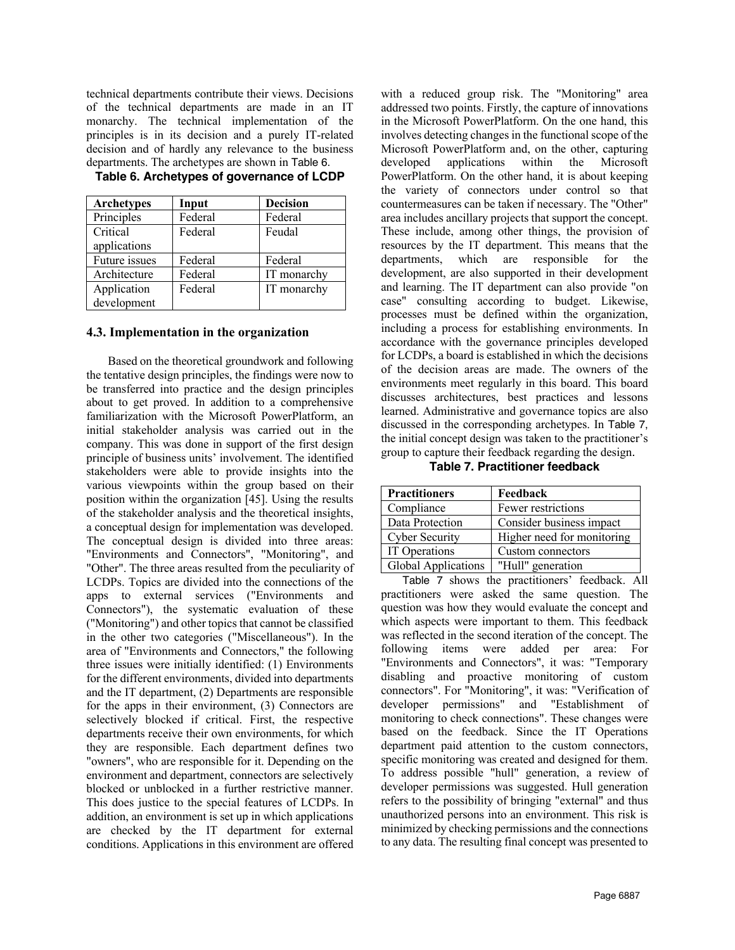technical departments contribute their views. Decisions of the technical departments are made in an IT monarchy. The technical implementation of the principles is in its decision and a purely IT-related decision and of hardly any relevance to the business departments. The archetypes are shown in Table 6.

| <b>Archetypes</b> | Input   | <b>Decision</b> |
|-------------------|---------|-----------------|
| Principles        | Federal | Federal         |
| Critical          | Federal | Feudal          |
| applications      |         |                 |
| Future issues     | Federal | Federal         |
| Architecture      | Federal | IT monarchy     |
| Application       | Federal | IT monarchy     |
| development       |         |                 |

**Table 6. Archetypes of governance of LCDP**

#### **4.3. Implementation in the organization**

Based on the theoretical groundwork and following the tentative design principles, the findings were now to be transferred into practice and the design principles about to get proved. In addition to a comprehensive familiarization with the Microsoft PowerPlatform, an initial stakeholder analysis was carried out in the company. This was done in support of the first design principle of business units' involvement. The identified stakeholders were able to provide insights into the various viewpoints within the group based on their position within the organization [45]. Using the results of the stakeholder analysis and the theoretical insights, a conceptual design for implementation was developed. The conceptual design is divided into three areas: "Environments and Connectors", "Monitoring", and "Other". The three areas resulted from the peculiarity of LCDPs. Topics are divided into the connections of the apps to external services ("Environments and Connectors"), the systematic evaluation of these ("Monitoring") and other topics that cannot be classified in the other two categories ("Miscellaneous"). In the area of "Environments and Connectors," the following three issues were initially identified: (1) Environments for the different environments, divided into departments and the IT department, (2) Departments are responsible for the apps in their environment, (3) Connectors are selectively blocked if critical. First, the respective departments receive their own environments, for which they are responsible. Each department defines two "owners", who are responsible for it. Depending on the environment and department, connectors are selectively blocked or unblocked in a further restrictive manner. This does justice to the special features of LCDPs. In addition, an environment is set up in which applications are checked by the IT department for external conditions. Applications in this environment are offered

with a reduced group risk. The "Monitoring" area addressed two points. Firstly, the capture of innovations in the Microsoft PowerPlatform. On the one hand, this involves detecting changes in the functional scope of the Microsoft PowerPlatform and, on the other, capturing developed applications within the Microsoft PowerPlatform. On the other hand, it is about keeping the variety of connectors under control so that countermeasures can be taken if necessary. The "Other" area includes ancillary projects that support the concept. These include, among other things, the provision of resources by the IT department. This means that the departments, which are responsible for the development, are also supported in their development and learning. The IT department can also provide "on case" consulting according to budget. Likewise, processes must be defined within the organization, including a process for establishing environments. In accordance with the governance principles developed for LCDPs, a board is established in which the decisions of the decision areas are made. The owners of the environments meet regularly in this board. This board discusses architectures, best practices and lessons learned. Administrative and governance topics are also discussed in the corresponding archetypes. In Table 7, the initial concept design was taken to the practitioner's group to capture their feedback regarding the design.

**Table 7. Practitioner feedback**

| <b>Practitioners</b>  | Feedback                   |
|-----------------------|----------------------------|
| Compliance            | Fewer restrictions         |
| Data Protection       | Consider business impact   |
| <b>Cyber Security</b> | Higher need for monitoring |
| IT Operations         | Custom connectors          |
| Global Applications   | "Hull" generation          |

Table 7 shows the practitioners' feedback. All practitioners were asked the same question. The question was how they would evaluate the concept and which aspects were important to them. This feedback was reflected in the second iteration of the concept. The following items were added per area: For "Environments and Connectors", it was: "Temporary disabling and proactive monitoring of custom connectors". For "Monitoring", it was: "Verification of developer permissions" and "Establishment of monitoring to check connections". These changes were based on the feedback. Since the IT Operations department paid attention to the custom connectors, specific monitoring was created and designed for them. To address possible "hull" generation, a review of developer permissions was suggested. Hull generation refers to the possibility of bringing "external" and thus unauthorized persons into an environment. This risk is minimized by checking permissions and the connections to any data. The resulting final concept was presented to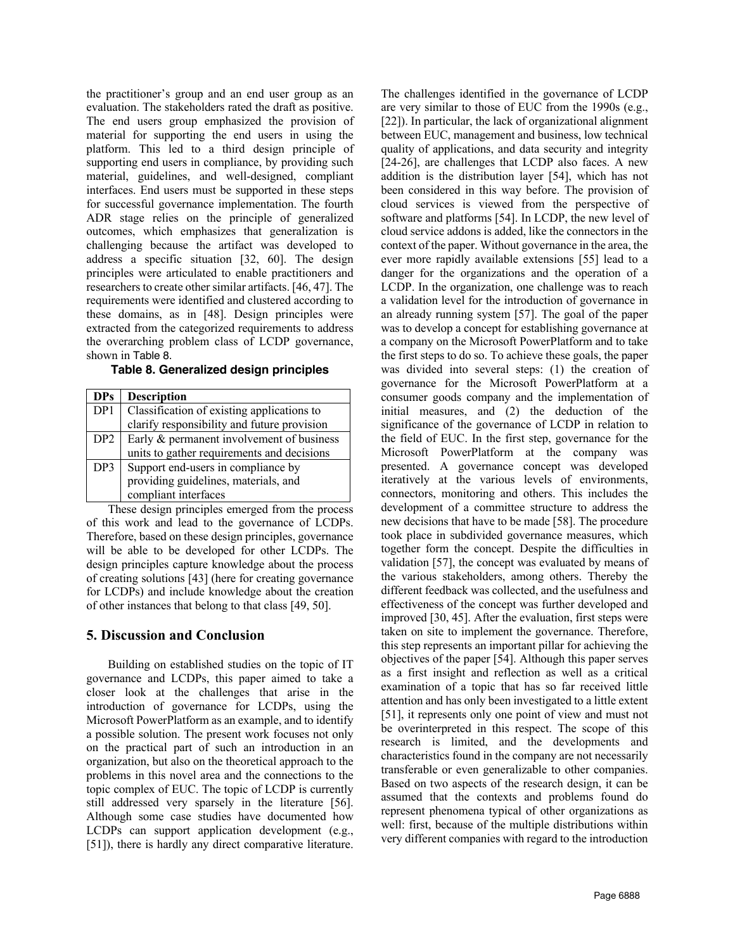the practitioner's group and an end user group as an evaluation. The stakeholders rated the draft as positive. The end users group emphasized the provision of material for supporting the end users in using the platform. This led to a third design principle of supporting end users in compliance, by providing such material, guidelines, and well-designed, compliant interfaces. End users must be supported in these steps for successful governance implementation. The fourth ADR stage relies on the principle of generalized outcomes, which emphasizes that generalization is challenging because the artifact was developed to address a specific situation [32, 60]. The design principles were articulated to enable practitioners and researchers to create other similar artifacts. [46, 47]. The requirements were identified and clustered according to these domains, as in [48]. Design principles were extracted from the categorized requirements to address the overarching problem class of LCDP governance, shown in Table 8.

| <b>DPs</b>      | <b>Description</b>                          |
|-----------------|---------------------------------------------|
| DP <sub>1</sub> | Classification of existing applications to  |
|                 | clarify responsibility and future provision |
| DP <sub>2</sub> | Early & permanent involvement of business   |
|                 | units to gather requirements and decisions  |
| DP3             | Support end-users in compliance by          |
|                 | providing guidelines, materials, and        |
|                 | compliant interfaces                        |

**Table 8. Generalized design principles**

These design principles emerged from the process of this work and lead to the governance of LCDPs. Therefore, based on these design principles, governance will be able to be developed for other LCDPs. The design principles capture knowledge about the process of creating solutions [43] (here for creating governance for LCDPs) and include knowledge about the creation of other instances that belong to that class [49, 50].

# **5. Discussion and Conclusion**

Building on established studies on the topic of IT governance and LCDPs, this paper aimed to take a closer look at the challenges that arise in the introduction of governance for LCDPs, using the Microsoft PowerPlatform as an example, and to identify a possible solution. The present work focuses not only on the practical part of such an introduction in an organization, but also on the theoretical approach to the problems in this novel area and the connections to the topic complex of EUC. The topic of LCDP is currently still addressed very sparsely in the literature [56]. Although some case studies have documented how LCDPs can support application development (e.g., [51]), there is hardly any direct comparative literature.

The challenges identified in the governance of LCDP are very similar to those of EUC from the 1990s (e.g., [22]). In particular, the lack of organizational alignment between EUC, management and business, low technical quality of applications, and data security and integrity [24-26], are challenges that LCDP also faces. A new addition is the distribution layer [54], which has not been considered in this way before. The provision of cloud services is viewed from the perspective of software and platforms [54]. In LCDP, the new level of cloud service addons is added, like the connectors in the context of the paper. Without governance in the area, the ever more rapidly available extensions [55] lead to a danger for the organizations and the operation of a LCDP. In the organization, one challenge was to reach a validation level for the introduction of governance in an already running system [57]. The goal of the paper was to develop a concept for establishing governance at a company on the Microsoft PowerPlatform and to take the first steps to do so. To achieve these goals, the paper was divided into several steps: (1) the creation of governance for the Microsoft PowerPlatform at a consumer goods company and the implementation of initial measures, and (2) the deduction of the significance of the governance of LCDP in relation to the field of EUC. In the first step, governance for the Microsoft PowerPlatform at the company was presented. A governance concept was developed iteratively at the various levels of environments, connectors, monitoring and others. This includes the development of a committee structure to address the new decisions that have to be made [58]. The procedure took place in subdivided governance measures, which together form the concept. Despite the difficulties in validation [57], the concept was evaluated by means of the various stakeholders, among others. Thereby the different feedback was collected, and the usefulness and effectiveness of the concept was further developed and improved [30, 45]. After the evaluation, first steps were taken on site to implement the governance. Therefore, this step represents an important pillar for achieving the objectives of the paper [54]. Although this paper serves as a first insight and reflection as well as a critical examination of a topic that has so far received little attention and has only been investigated to a little extent [51], it represents only one point of view and must not be overinterpreted in this respect. The scope of this research is limited, and the developments and characteristics found in the company are not necessarily transferable or even generalizable to other companies. Based on two aspects of the research design, it can be assumed that the contexts and problems found do represent phenomena typical of other organizations as well: first, because of the multiple distributions within very different companies with regard to the introduction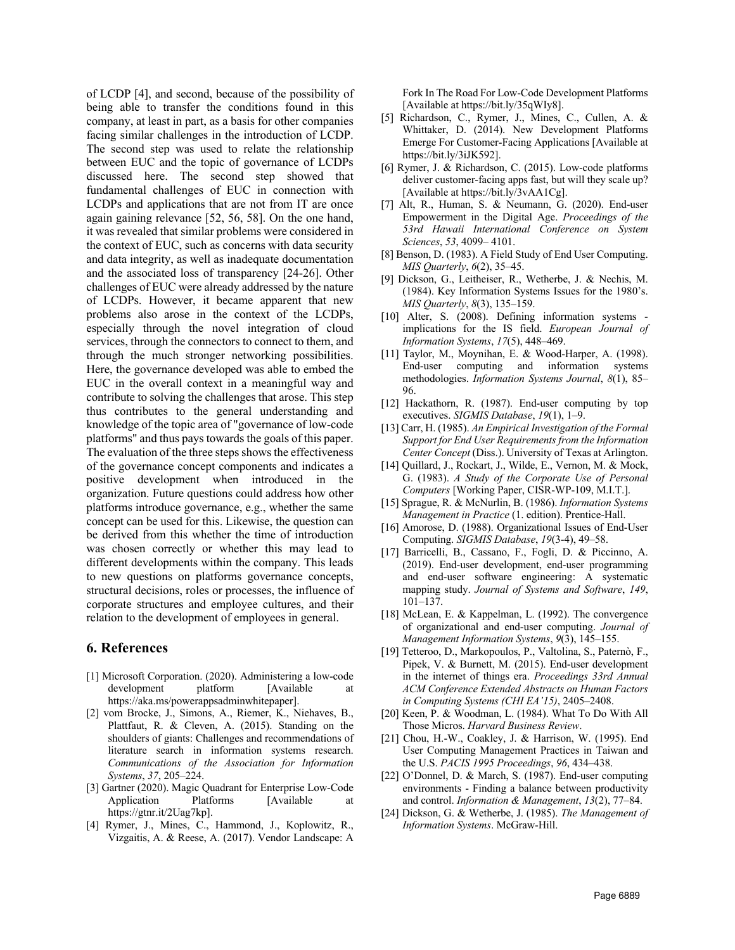of LCDP [4], and second, because of the possibility of being able to transfer the conditions found in this company, at least in part, as a basis for other companies facing similar challenges in the introduction of LCDP. The second step was used to relate the relationship between EUC and the topic of governance of LCDPs discussed here. The second step showed that fundamental challenges of EUC in connection with LCDPs and applications that are not from IT are once again gaining relevance [52, 56, 58]. On the one hand, it was revealed that similar problems were considered in the context of EUC, such as concerns with data security and data integrity, as well as inadequate documentation and the associated loss of transparency [24-26]. Other challenges of EUC were already addressed by the nature of LCDPs. However, it became apparent that new problems also arose in the context of the LCDPs, especially through the novel integration of cloud services, through the connectors to connect to them, and through the much stronger networking possibilities. Here, the governance developed was able to embed the EUC in the overall context in a meaningful way and contribute to solving the challenges that arose. This step thus contributes to the general understanding and knowledge of the topic area of "governance of low-code platforms" and thus pays towards the goals of this paper. The evaluation of the three steps shows the effectiveness of the governance concept components and indicates a positive development when introduced in the organization. Future questions could address how other platforms introduce governance, e.g., whether the same concept can be used for this. Likewise, the question can be derived from this whether the time of introduction was chosen correctly or whether this may lead to different developments within the company. This leads to new questions on platforms governance concepts, structural decisions, roles or processes, the influence of corporate structures and employee cultures, and their relation to the development of employees in general.

# **6. References**

- [1] Microsoft Corporation. (2020). Administering a low-code development platform [Available at https://aka.ms/powerappsadminwhitepaper].
- [2] vom Brocke, J., Simons, A., Riemer, K., Niehaves, B., Plattfaut, R. & Cleven, A. (2015). Standing on the shoulders of giants: Challenges and recommendations of literature search in information systems research. *Communications of the Association for Information Systems*, *37*, 205–224.
- [3] Gartner (2020). Magic Quadrant for Enterprise Low-Code Application Platforms [Available at https://gtnr.it/2Uag7kp].
- [4] Rymer, J., Mines, C., Hammond, J., Koplowitz, R., Vizgaitis, A. & Reese, A. (2017). Vendor Landscape: A

Fork In The Road For Low-Code Development Platforms [Available at https://bit.ly/35qWIy8].

- [5] Richardson, C., Rymer, J., Mines, C., Cullen, A. & Whittaker, D. (2014). New Development Platforms Emerge For Customer-Facing Applications [Available at https://bit.ly/3iJK592].
- [6] Rymer, J. & Richardson, C. (2015). Low-code platforms deliver customer-facing apps fast, but will they scale up? [Available at https://bit.ly/3vAA1Cg].
- [7] Alt, R., Human, S. & Neumann, G. (2020). End-user Empowerment in the Digital Age. *Proceedings of the 53rd Hawaii International Conference on System Sciences*, *53*, 4099– 4101.
- [8] Benson, D. (1983). A Field Study of End User Computing. *MIS Quarterly*, *6*(2), 35–45.
- [9] Dickson, G., Leitheiser, R., Wetherbe, J. & Nechis, M. (1984). Key Information Systems Issues for the 1980's. *MIS Quarterly*, *8*(3), 135–159.
- [10] Alter, S. (2008). Defining information systems implications for the IS field. *European Journal of Information Systems*, *17*(5), 448–469.
- [11] Taylor, M., Moynihan, E. & Wood-Harper, A. (1998). End-user computing and information systems methodologies. *Information Systems Journal*, *8*(1), 85– 96.
- [12] Hackathorn, R. (1987). End-user computing by top executives. *SIGMIS Database*, *19*(1), 1–9.
- [13] Carr, H. (1985). *An Empirical Investigation of the Formal Support for End User Requirements from the Information Center Concept* (Diss.). University of Texas at Arlington.
- [14] Quillard, J., Rockart, J., Wilde, E., Vernon, M. & Mock, G. (1983). *A Study of the Corporate Use of Personal Computers* [Working Paper, CISR-WP-109, M.I.T.].
- [15] Sprague, R. & McNurlin, B. (1986). *Information Systems Management in Practice* (1. edition). Prentice-Hall.
- [16] Amorose, D. (1988). Organizational Issues of End-User Computing. *SIGMIS Database*, *19*(3-4), 49–58.
- [17] Barricelli, B., Cassano, F., Fogli, D. & Piccinno, A. (2019). End-user development, end-user programming and end-user software engineering: A systematic mapping study. *Journal of Systems and Software*, *149*, 101–137.
- [18] McLean, E. & Kappelman, L. (1992). The convergence of organizational and end-user computing. *Journal of Management Information Systems*, *9*(3), 145–155.
- [19] Tetteroo, D., Markopoulos, P., Valtolina, S., Paternò, F., Pipek, V. & Burnett, M. (2015). End-user development in the internet of things era. *Proceedings 33rd Annual ACM Conference Extended Abstracts on Human Factors in Computing Systems (CHI EA'15)*, 2405–2408.
- [20] Keen, P. & Woodman, L. (1984). What To Do With All Those Micros. *Harvard Business Review*.
- [21] Chou, H.-W., Coakley, J. & Harrison, W. (1995). End User Computing Management Practices in Taiwan and the U.S. *PACIS 1995 Proceedings*, *96*, 434–438.
- [22] O'Donnel, D. & March, S. (1987). End-user computing environments - Finding a balance between productivity and control. *Information & Management*, *13*(2), 77–84.
- [24] Dickson, G. & Wetherbe, J. (1985). *The Management of Information Systems*. McGraw-Hill.